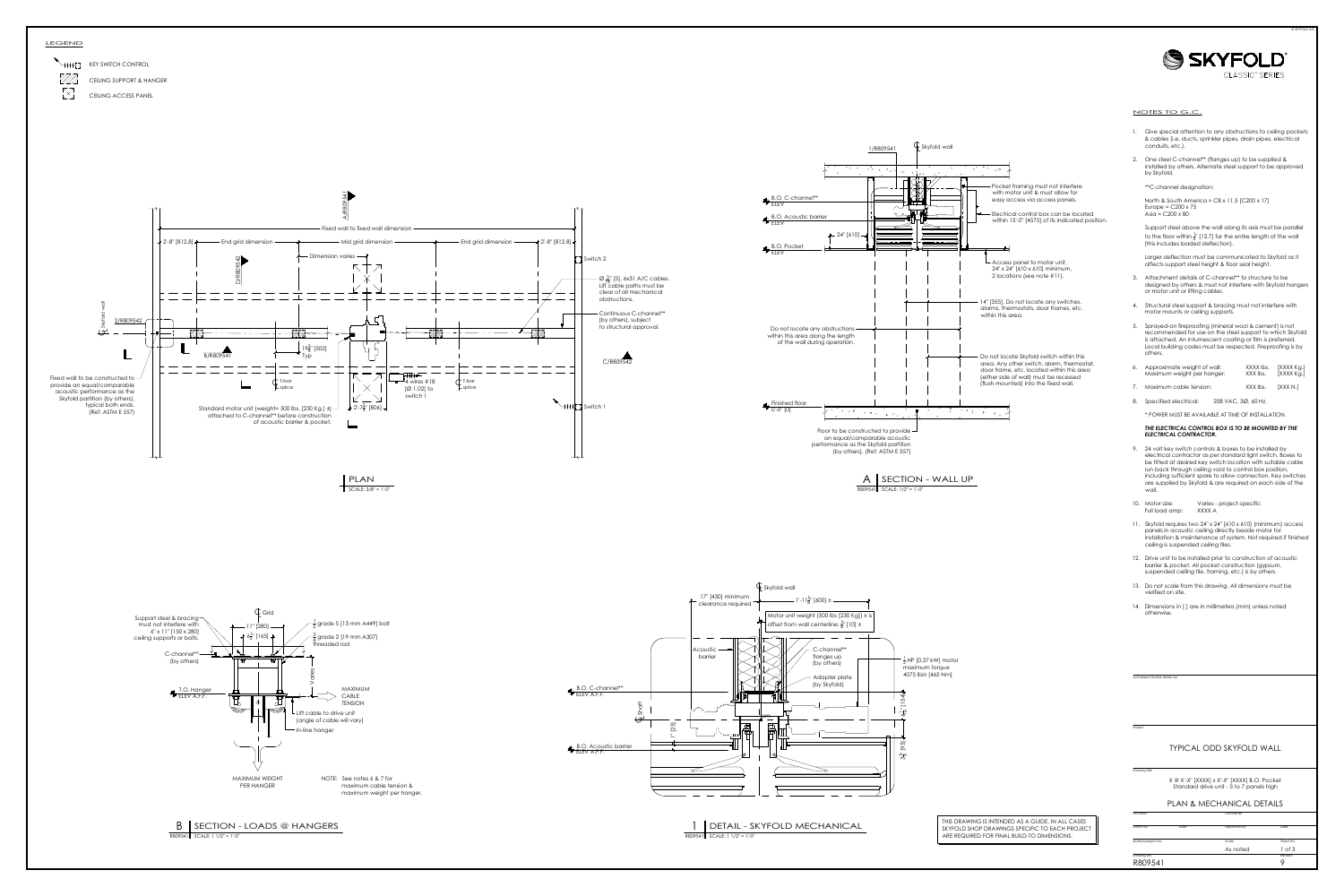



- 
- 

- 
- 
- 
- 
- 

- 
- 
- 
- 
- 
- 

Project<br>
Drawing title Sky (SKY Martin Drawing title Skyfold Drawing title Skyfold project No. Drawn by Date Approved by Date Approved by Date Approved by Date As noted 1 of 3 panels high<br>
Drawing No. Development Date As n